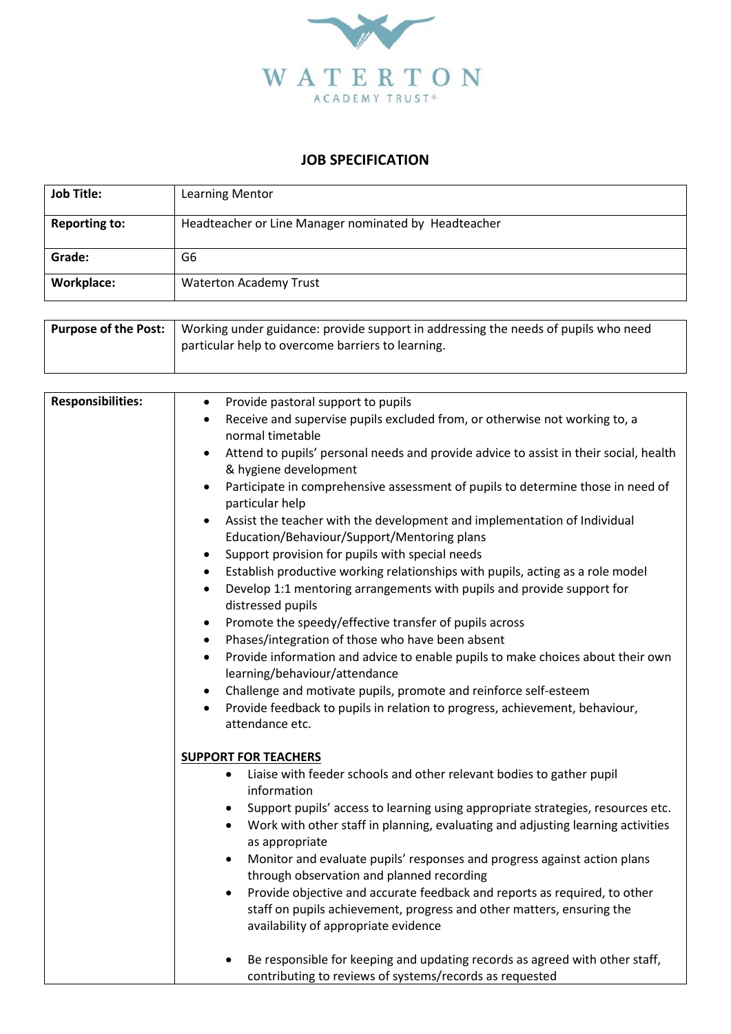

## **JOB SPECIFICATION**

| <b>Job Title:</b>    | Learning Mentor                                      |
|----------------------|------------------------------------------------------|
| <b>Reporting to:</b> | Headteacher or Line Manager nominated by Headteacher |
| Grade:               | G6                                                   |
| Workplace:           | <b>Waterton Academy Trust</b>                        |

| <b>Purpose of the Post:</b>   Working under guidance: provide support in addressing the needs of pupils who need |
|------------------------------------------------------------------------------------------------------------------|
| particular help to overcome barriers to learning.                                                                |
|                                                                                                                  |

| <b>Responsibilities:</b> | Provide pastoral support to pupils<br>$\bullet$                                                                                                                                                                |
|--------------------------|----------------------------------------------------------------------------------------------------------------------------------------------------------------------------------------------------------------|
|                          | Receive and supervise pupils excluded from, or otherwise not working to, a<br>$\bullet$<br>normal timetable                                                                                                    |
|                          | Attend to pupils' personal needs and provide advice to assist in their social, health<br>$\bullet$<br>& hygiene development                                                                                    |
|                          | Participate in comprehensive assessment of pupils to determine those in need of<br>$\bullet$<br>particular help                                                                                                |
|                          | Assist the teacher with the development and implementation of Individual<br>$\bullet$<br>Education/Behaviour/Support/Mentoring plans                                                                           |
|                          | Support provision for pupils with special needs<br>$\bullet$                                                                                                                                                   |
|                          | Establish productive working relationships with pupils, acting as a role model<br>$\bullet$<br>Develop 1:1 mentoring arrangements with pupils and provide support for<br>$\bullet$<br>distressed pupils        |
|                          | Promote the speedy/effective transfer of pupils across<br>$\bullet$                                                                                                                                            |
|                          | Phases/integration of those who have been absent<br>$\bullet$                                                                                                                                                  |
|                          | Provide information and advice to enable pupils to make choices about their own<br>$\bullet$<br>learning/behaviour/attendance                                                                                  |
|                          | Challenge and motivate pupils, promote and reinforce self-esteem<br>$\bullet$                                                                                                                                  |
|                          | Provide feedback to pupils in relation to progress, achievement, behaviour,<br>$\bullet$<br>attendance etc.                                                                                                    |
|                          | <b>SUPPORT FOR TEACHERS</b>                                                                                                                                                                                    |
|                          | Liaise with feeder schools and other relevant bodies to gather pupil<br>$\bullet$<br>information                                                                                                               |
|                          | Support pupils' access to learning using appropriate strategies, resources etc.<br>$\bullet$<br>Work with other staff in planning, evaluating and adjusting learning activities<br>$\bullet$<br>as appropriate |
|                          | Monitor and evaluate pupils' responses and progress against action plans<br>$\bullet$<br>through observation and planned recording                                                                             |
|                          | Provide objective and accurate feedback and reports as required, to other<br>$\bullet$<br>staff on pupils achievement, progress and other matters, ensuring the<br>availability of appropriate evidence        |
|                          | Be responsible for keeping and updating records as agreed with other staff,<br>contributing to reviews of systems/records as requested                                                                         |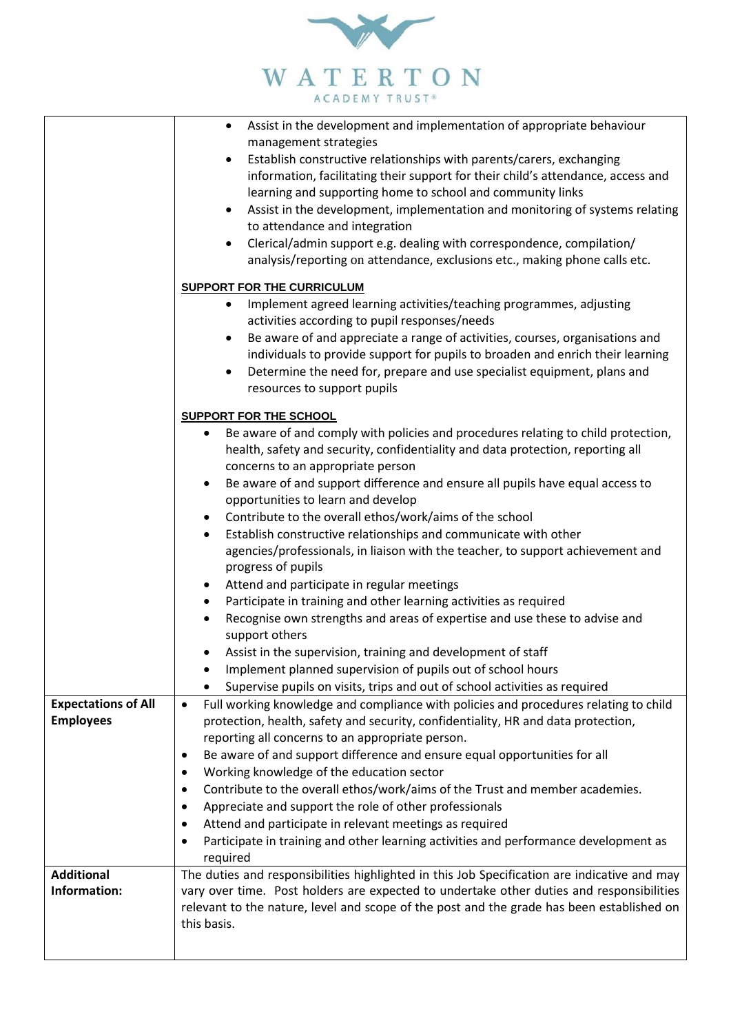

|                                                | Assist in the development and implementation of appropriate behaviour<br>$\bullet$<br>management strategies<br>Establish constructive relationships with parents/carers, exchanging<br>$\bullet$<br>information, facilitating their support for their child's attendance, access and<br>learning and supporting home to school and community links<br>Assist in the development, implementation and monitoring of systems relating<br>$\bullet$<br>to attendance and integration<br>Clerical/admin support e.g. dealing with correspondence, compilation/<br>$\bullet$<br>analysis/reporting on attendance, exclusions etc., making phone calls etc.<br><b>SUPPORT FOR THE CURRICULUM</b><br>Implement agreed learning activities/teaching programmes, adjusting<br>$\bullet$<br>activities according to pupil responses/needs<br>Be aware of and appreciate a range of activities, courses, organisations and<br>$\bullet$<br>individuals to provide support for pupils to broaden and enrich their learning<br>Determine the need for, prepare and use specialist equipment, plans and<br>$\bullet$<br>resources to support pupils<br><b>SUPPORT FOR THE SCHOOL</b><br>Be aware of and comply with policies and procedures relating to child protection,<br>$\bullet$<br>health, safety and security, confidentiality and data protection, reporting all<br>concerns to an appropriate person<br>Be aware of and support difference and ensure all pupils have equal access to<br>opportunities to learn and develop<br>Contribute to the overall ethos/work/aims of the school<br>Establish constructive relationships and communicate with other<br>٠<br>agencies/professionals, in liaison with the teacher, to support achievement and<br>progress of pupils<br>Attend and participate in regular meetings<br>Participate in training and other learning activities as required<br>Recognise own strengths and areas of expertise and use these to advise and<br>support others<br>Assist in the supervision, training and development of staff<br>Implement planned supervision of pupils out of school hours |
|------------------------------------------------|----------------------------------------------------------------------------------------------------------------------------------------------------------------------------------------------------------------------------------------------------------------------------------------------------------------------------------------------------------------------------------------------------------------------------------------------------------------------------------------------------------------------------------------------------------------------------------------------------------------------------------------------------------------------------------------------------------------------------------------------------------------------------------------------------------------------------------------------------------------------------------------------------------------------------------------------------------------------------------------------------------------------------------------------------------------------------------------------------------------------------------------------------------------------------------------------------------------------------------------------------------------------------------------------------------------------------------------------------------------------------------------------------------------------------------------------------------------------------------------------------------------------------------------------------------------------------------------------------------------------------------------------------------------------------------------------------------------------------------------------------------------------------------------------------------------------------------------------------------------------------------------------------------------------------------------------------------------------------------------------------------------------------------------------------------------------------------------------------------------------|
|                                                | Supervise pupils on visits, trips and out of school activities as required                                                                                                                                                                                                                                                                                                                                                                                                                                                                                                                                                                                                                                                                                                                                                                                                                                                                                                                                                                                                                                                                                                                                                                                                                                                                                                                                                                                                                                                                                                                                                                                                                                                                                                                                                                                                                                                                                                                                                                                                                                           |
| <b>Expectations of All</b><br><b>Employees</b> | Full working knowledge and compliance with policies and procedures relating to child<br>$\bullet$<br>protection, health, safety and security, confidentiality, HR and data protection,<br>reporting all concerns to an appropriate person.<br>Be aware of and support difference and ensure equal opportunities for all<br>$\bullet$<br>Working knowledge of the education sector<br>٠<br>Contribute to the overall ethos/work/aims of the Trust and member academies.<br>٠<br>Appreciate and support the role of other professionals<br>٠<br>Attend and participate in relevant meetings as required<br>٠<br>Participate in training and other learning activities and performance development as<br>٠<br>required                                                                                                                                                                                                                                                                                                                                                                                                                                                                                                                                                                                                                                                                                                                                                                                                                                                                                                                                                                                                                                                                                                                                                                                                                                                                                                                                                                                                  |
| <b>Additional</b><br>Information:              | The duties and responsibilities highlighted in this Job Specification are indicative and may<br>vary over time. Post holders are expected to undertake other duties and responsibilities<br>relevant to the nature, level and scope of the post and the grade has been established on<br>this basis.                                                                                                                                                                                                                                                                                                                                                                                                                                                                                                                                                                                                                                                                                                                                                                                                                                                                                                                                                                                                                                                                                                                                                                                                                                                                                                                                                                                                                                                                                                                                                                                                                                                                                                                                                                                                                 |